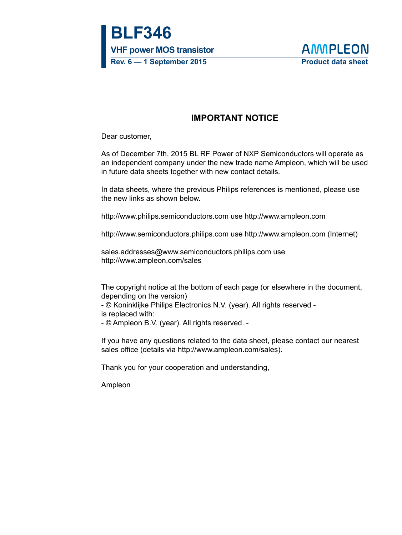**BLF346 VHF power MOS transistor Rev. 6 — 1 September 2015 Product data sheet**



## **IMPORTANT NOTICE**

Dear customer,

As of December 7th, 2015 BL RF Power of NXP Semiconductors will operate as an independent company under the new trade name Ampleon, which will be used in future data sheets together with new contact details.

In data sheets, where the previous Philips references is mentioned, please use the new links as shown below.

http://www.philips.semiconductors.com use http://www.ampleon.com

http://www.semiconductors.philips.com use http://www.ampleon.com (Internet)

sales.addresses@www.semiconductors.philips.com use http://www.ampleon.com/sales

The copyright notice at the bottom of each page (or elsewhere in the document, depending on the version)

- © Koninklijke Philips Electronics N.V. (year). All rights reserved is replaced with:

- © Ampleon B.V. (year). All rights reserved. -

If you have any questions related to the data sheet, please contact our nearest sales office (details via http://www.ampleon.com/sales).

Thank you for your cooperation and understanding,

Ampleon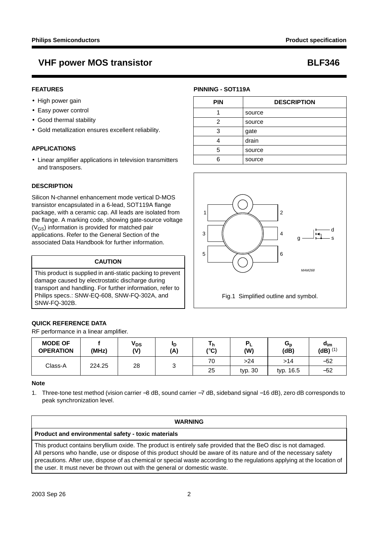## **VHF power MOS transistor BLF346**

## **FEATURES**

- High power gain
- Easy power control
- Good thermal stability
- Gold metallization ensures excellent reliability.

## **APPLICATIONS**

• Linear amplifier applications in television transmitters and transposers.

## **DESCRIPTION**

Silicon N-channel enhancement mode vertical D-MOS transistor encapsulated in a 6-lead, SOT119A flange package, with a ceramic cap. All leads are isolated from the flange. A marking code, showing gate-source voltage  $(V_{GS})$  information is provided for matched pair applications. Refer to the General Section of the associated Data Handbook for further information.

### **CAUTION**

This product is supplied in anti-static packing to prevent damage caused by electrostatic discharge during transport and handling. For further information, refer to Philips specs.: SNW-EQ-608, SNW-FQ-302A, and SNW-FQ-302B.

## **QUICK REFERENCE DATA**

RF performance in a linear amplifier.

| <b>MODE OF</b><br><b>OPERATION</b> | (MHz) | $V_{DS}$<br>(V) | םי<br>(A) | (°C)      | (W)   | $G_{p}$<br>(dB) | $d_{\text{im}}$<br>$(dB)$ <sup>(1)</sup> |
|------------------------------------|-------|-----------------|-----------|-----------|-------|-----------------|------------------------------------------|
| Class-A<br>28<br>224.25            |       |                 |           | 70        | >24   | >14             | $-52$                                    |
|                                    | ັ     | 25              | typ. 30   | typ. 16.5 | $-52$ |                 |                                          |

### **Note**

1. Three-tone test method (vision carrier −8 dB, sound carrier −7 dB, sideband signal −16 dB), zero dB corresponds to peak synchronization level.

## **WARNING Product and environmental safety - toxic materials** This product contains beryllium oxide. The product is entirely safe provided that the BeO disc is not damaged. All persons who handle, use or dispose of this product should be aware of its nature and of the necessary safety precautions. After use, dispose of as chemical or special waste according to the regulations applying at the location of the user. It must never be thrown out with the general or domestic waste.

## **PINNING - SOT119A**

| <b>PIN</b> | <b>DESCRIPTION</b> |
|------------|--------------------|
|            | source             |
| 2          | source             |
| 3          | gate               |
|            | drain              |
| 5          | source             |
| հ          | source             |

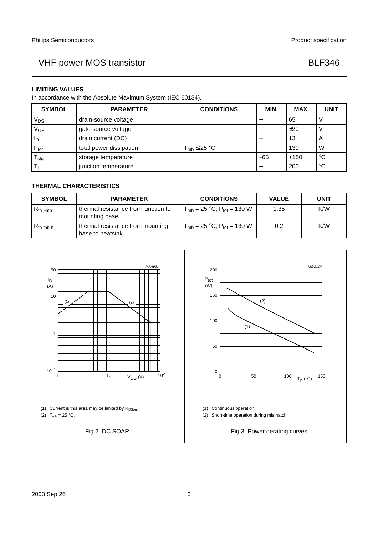## **LIMITING VALUES**

In accordance with the Absolute Maximum System (IEC 60134).

| <b>SYMBOL</b>    | <b>PARAMETER</b>        | <b>CONDITIONS</b>   | MIN. | MAX.   | <b>UNIT</b>             |
|------------------|-------------------------|---------------------|------|--------|-------------------------|
| V <sub>DS</sub>  | drain-source voltage    |                     |      | 65     |                         |
| V <sub>GS</sub>  | gate-source voltage     |                     |      | ±20    |                         |
| ΙD               | drain current (DC)      |                     |      | 13     | $\overline{\mathsf{A}}$ |
| $P_{\text{tot}}$ | total power dissipation | $T_{mb} \leq 25$ °C |      | 130    | W                       |
| stg              | storage temperature     |                     | -65  | $+150$ | $^{\circ}C$             |
|                  | junction temperature    |                     |      | 200    | $^{\circ}C$             |

## **THERMAL CHARACTERISTICS**

| <b>SYMBOL</b>  | <b>PARAMETER</b>                                     | <b>CONDITIONS</b>                              | <b>VALUE</b> | <b>UNIT</b> |
|----------------|------------------------------------------------------|------------------------------------------------|--------------|-------------|
| $R_{th\ j-mb}$ | thermal resistance from junction to<br>mounting base | $T_{\rm mb}$ = 25 °C; P <sub>tot</sub> = 130 W | 1.35         | K/W         |
| $R_{th mb-h}$  | thermal resistance from mounting<br>base to heatsink | $T_{mb}$ = 25 °C; P <sub>tot</sub> = 130 W     | 0.2          | K/W         |





Fig.3 Power derating curves.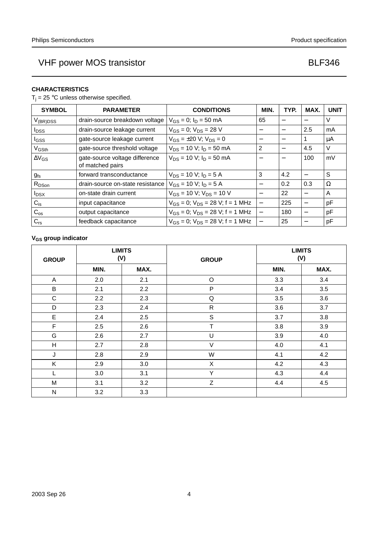## **CHARACTERISTICS**

 $T_j = 25$  °C unless otherwise specified.

| <b>SYMBOL</b>            | <b>PARAMETER</b>                                   | <b>CONDITIONS</b>                         | MIN.                     | TYP.                     | MAX.                     | <b>UNIT</b> |
|--------------------------|----------------------------------------------------|-------------------------------------------|--------------------------|--------------------------|--------------------------|-------------|
| $V_{(BR)DSS}$            | drain-source breakdown voltage                     | $V_{GS} = 0$ ; $I_D = 50$ mA              | 65                       |                          |                          | V           |
| <b>I</b> <sub>DSS</sub>  | drain-source leakage current                       | $V_{GS} = 0$ ; $V_{DS} = 28$ V            | $\overline{\phantom{m}}$ | $\overline{\phantom{0}}$ | 2.5                      | mA          |
| I <sub>GSS</sub>         | gate-source leakage current                        | $V_{GS} = \pm 20$ V; $V_{DS} = 0$         | $\qquad \qquad$          |                          |                          | μA          |
| V <sub>GSth</sub>        | gate-source threshold voltage                      | $V_{DS}$ = 10 V; $I_D$ = 50 mA            | 2                        |                          | 4.5                      | V           |
| $\Delta V$ <sub>GS</sub> | gate-source voltage difference<br>of matched pairs | $V_{DS}$ = 10 V; $I_D$ = 50 mA            |                          |                          | 100                      | mV          |
| $g_{fs}$                 | forward transconductance                           | $V_{DS}$ = 10 V; $I_D$ = 5 A              | 3                        | 4.2                      |                          | S           |
| $R_{DSon}$               | drain-source on-state resistance                   | $V_{GS}$ = 10 V; $I_D$ = 5 A              | $\overline{\phantom{m}}$ | 0.2                      | 0.3                      | Ω           |
| $I_{DSX}$                | on-state drain current                             | $V_{GS}$ = 10 V; $V_{DS}$ = 10 V          |                          | 22                       |                          | A           |
| $C_{\text{is}}$          | input capacitance                                  | $V_{GS} = 0$ ; $V_{DS} = 28$ V; f = 1 MHz | $\qquad \qquad -$        | 225                      |                          | рF          |
| $C_{os}$                 | output capacitance                                 | $V_{GS} = 0$ ; $V_{DS} = 28$ V; f = 1 MHz | $\qquad \qquad -$        | 180                      | $\overline{\phantom{0}}$ | рF          |
| $C_{rs}$                 | feedback capacitance                               | $V_{GS} = 0$ ; $V_{DS} = 28$ V; f = 1 MHz |                          | 25                       |                          | рF          |

## **V<sub>GS</sub>** group indicator

| <b>GROUP</b> | <b>LIMITS</b><br>(V) |      | <b>GROUP</b> | <b>LIMITS</b><br>(V) |      |  |
|--------------|----------------------|------|--------------|----------------------|------|--|
|              | MIN.                 | MAX. |              | MIN.                 | MAX. |  |
| A            | 2.0                  | 2.1  | $\circ$      | 3.3                  | 3.4  |  |
| $\sf B$      | 2.1                  | 2.2  | ${\sf P}$    | 3.4                  | 3.5  |  |
| $\mathsf{C}$ | 2.2                  | 2.3  | Q            | 3.5                  | 3.6  |  |
| D            | 2.3                  | 2.4  | $\mathsf{R}$ | 3.6                  | 3.7  |  |
| E            | 2.4                  | 2.5  | $\mathsf S$  | 3.7                  | 3.8  |  |
| F            | 2.5                  | 2.6  | $\mathsf T$  | 3.8                  | 3.9  |  |
| G            | 2.6                  | 2.7  | U            | 3.9                  | 4.0  |  |
| H            | 2.7                  | 2.8  | $\vee$       | 4.0                  | 4.1  |  |
| J            | 2.8                  | 2.9  | W            | 4.1                  | 4.2  |  |
| K            | 2.9                  | 3.0  | X            | 4.2                  | 4.3  |  |
| L            | 3.0                  | 3.1  | Y            | 4.3                  | 4.4  |  |
| M            | 3.1                  | 3.2  | Z            | 4.4                  | 4.5  |  |
| N            | 3.2                  | 3.3  |              |                      |      |  |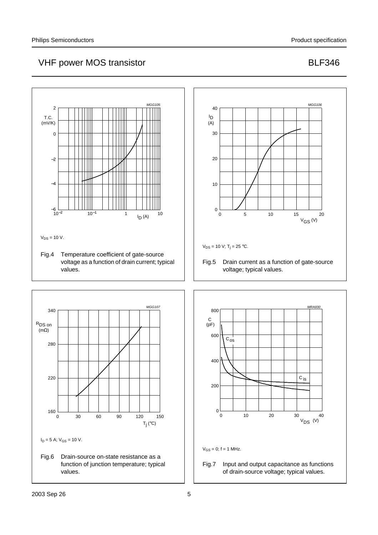







 $V_{GS} = 0$ ; f = 1 MHz.

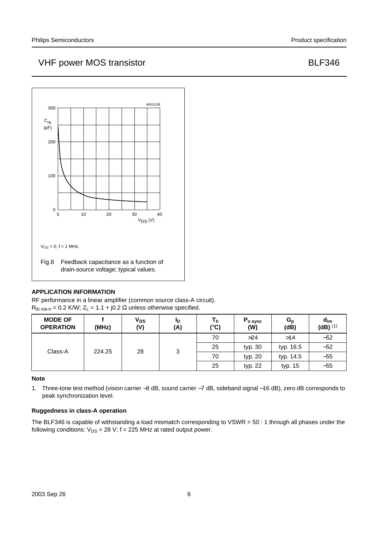

## **APPLICATION INFORMATION**

RF performance in a linear amplifier (common source class-A circuit).  $R_{th\ mb-h} = 0.2$  K/W;  $Z_L = 1.1 + j0.2 \Omega$  unless otherwise specified.

| <b>MODE OF</b><br><b>OPERATION</b> | (MHz)  | <b>V<sub>DS</sub></b><br>(V) | ID.<br>(A) | Τh<br>(°C) | $P_{o\,sync}$<br>(W) | $G_{p}$<br>(dB) | $d_{\text{im}}$<br>$(dB)$ <sup>(1)</sup> |
|------------------------------------|--------|------------------------------|------------|------------|----------------------|-----------------|------------------------------------------|
|                                    |        |                              |            | 70         | >24                  | >14             | $-52$                                    |
| Class-A                            | 224.25 | 28                           | 3          | 25         | typ. 30              | typ. 16.5       | $-52$                                    |
|                                    |        |                              |            | 70         | typ. 20              | typ. 14.5       | $-55$                                    |
|                                    |        |                              |            | 25         | typ. 22              | typ. 15         | $-55$                                    |

**Note**

1. Three-tone test method (vision carrier −8 dB, sound carrier −7 dB, sideband signal −16 dB), zero dB corresponds to peak synchronization level.

## **Ruggedness in class-A operation**

The BLF346 is capable of withstanding a load mismatch corresponding to VSWR = 50 : 1 through all phases under the following conditions:  $V_{DS} = 28 V$ ; f = 225 MHz at rated output power.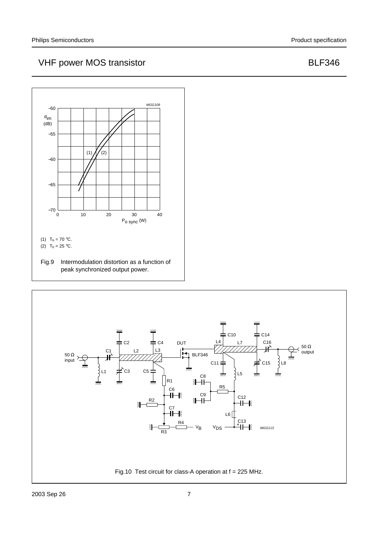

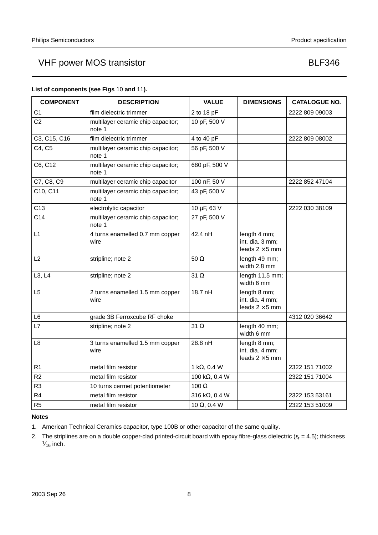| <b>COMPONENT</b> | <b>DESCRIPTION</b>                           | <b>VALUE</b>           | <b>DIMENSIONS</b>                                        | <b>CATALOGUE NO.</b> |
|------------------|----------------------------------------------|------------------------|----------------------------------------------------------|----------------------|
| C <sub>1</sub>   | film dielectric trimmer                      | 2 to 18 pF             |                                                          | 2222 809 09003       |
| C <sub>2</sub>   | multilayer ceramic chip capacitor;<br>note 1 | 10 pF, 500 V           |                                                          |                      |
| C3, C15, C16     | film dielectric trimmer                      | 4 to 40 pF             |                                                          | 2222 809 08002       |
| C4, C5           | multilayer ceramic chip capacitor;<br>note 1 | 56 pF, 500 V           |                                                          |                      |
| C6, C12          | multilayer ceramic chip capacitor;<br>note 1 | 680 pF, 500 V          |                                                          |                      |
| C7, C8, C9       | multilayer ceramic chip capacitor            | 100 nF, 50 V           |                                                          | 2222 852 47104       |
| C10, C11         | multilayer ceramic chip capacitor;<br>note 1 | 43 pF, 500 V           |                                                          |                      |
| C13              | electrolytic capacitor                       | 10 µF, 63 V            |                                                          | 2222 030 38109       |
| C <sub>14</sub>  | multilayer ceramic chip capacitor;<br>note 1 | 27 pF, 500 V           |                                                          |                      |
| L1               | 4 turns enamelled 0.7 mm copper<br>wire      | 42.4 nH                | length 4 mm;<br>int. dia. 3 mm;<br>leads $2 \times 5$ mm |                      |
| L2               | stripline; note 2                            | $50 \Omega$            | length 49 mm;<br>width 2.8 mm                            |                      |
| L3, L4           | stripline; note 2                            | 31 $\Omega$            | length 11.5 mm;<br>width 6 mm                            |                      |
| L <sub>5</sub>   | 2 turns enamelled 1.5 mm copper<br>wire      | 18.7 nH                | length 8 mm;<br>int. dia. 4 mm;<br>leads $2 \times 5$ mm |                      |
| L <sub>6</sub>   | grade 3B Ferroxcube RF choke                 |                        |                                                          | 4312 020 36642       |
| L7               | stripline; note 2                            | 31 $\Omega$            | length 40 mm;<br>width 6 mm                              |                      |
| L8               | 3 turns enamelled 1.5 mm copper<br>wire      | 28.8 nH                | length 8 mm;<br>int. dia. 4 mm;<br>leads $2 \times 5$ mm |                      |
| R <sub>1</sub>   | metal film resistor                          | 1 k $\Omega$ , 0.4 W   |                                                          | 2322 151 71002       |
| R <sub>2</sub>   | metal film resistor                          | 100 k $\Omega$ , 0.4 W |                                                          | 2322 151 71004       |
| R3               | 10 turns cermet potentiometer                | 100 $\Omega$           |                                                          |                      |
| R4               | metal film resistor                          | 316 k $\Omega$ , 0.4 W |                                                          | 2322 153 53161       |
| R <sub>5</sub>   | metal film resistor                          | 10 $\Omega$ , 0.4 W    |                                                          | 2322 153 51009       |

## **List of components (see Figs** 10 **and** 11**).**

## **Notes**

- 1. American Technical Ceramics capacitor, type 100B or other capacitor of the same quality.
- 2. The striplines are on a double copper-clad printed-circuit board with epoxy fibre-glass dielectric ( $\varepsilon_r$  = 4.5); thickness  $\frac{1}{16}$  inch.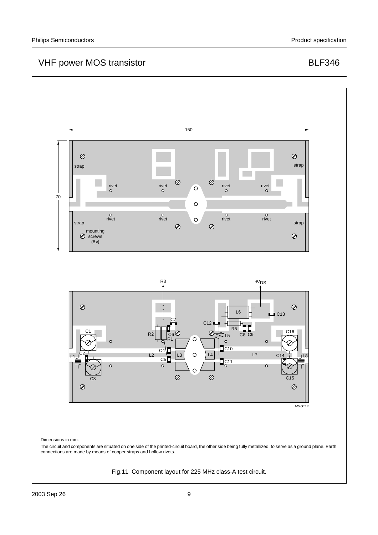

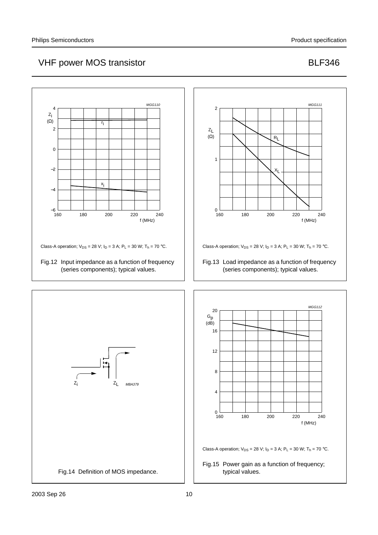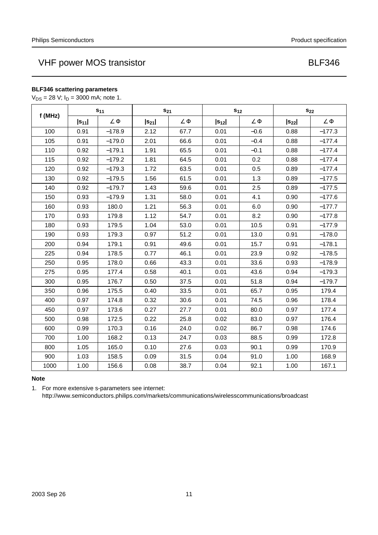## **BLF346 scattering parameters**

 $V_{DS} = 28 V; I_D = 3000$  mA; note 1.

| $S_{11}$<br>f (MHz) |            | $S_{21}$      |            | $S_{12}$      |            | $\mathbf{s}_{22}$ |            |               |
|---------------------|------------|---------------|------------|---------------|------------|-------------------|------------|---------------|
|                     | $ s_{11} $ | $\angle \Phi$ | $ s_{21} $ | $\angle \Phi$ | $ s_{12} $ | $\angle \Phi$     | $ s_{22} $ | $\angle \Phi$ |
| 100                 | 0.91       | $-178.9$      | 2.12       | 67.7          | 0.01       | $-0.6$            | 0.88       | $-177.3$      |
| 105                 | 0.91       | $-179.0$      | 2.01       | 66.6          | 0.01       | $-0.4$            | 0.88       | $-177.4$      |
| 110                 | 0.92       | $-179.1$      | 1.91       | 65.5          | 0.01       | $-0.1$            | 0.88       | $-177.4$      |
| 115                 | 0.92       | $-179.2$      | 1.81       | 64.5          | 0.01       | 0.2               | 0.88       | $-177.4$      |
| 120                 | 0.92       | $-179.3$      | 1.72       | 63.5          | 0.01       | 0.5               | 0.89       | $-177.4$      |
| 130                 | 0.92       | $-179.5$      | 1.56       | 61.5          | 0.01       | 1.3               | 0.89       | $-177.5$      |
| 140                 | 0.92       | $-179.7$      | 1.43       | 59.6          | 0.01       | 2.5               | 0.89       | $-177.5$      |
| 150                 | 0.93       | $-179.9$      | 1.31       | 58.0          | 0.01       | 4.1               | 0.90       | $-177.6$      |
| 160                 | 0.93       | 180.0         | 1.21       | 56.3          | 0.01       | 6.0               | 0.90       | $-177.7$      |
| 170                 | 0.93       | 179.8         | 1.12       | 54.7          | 0.01       | 8.2               | 0.90       | $-177.8$      |
| 180                 | 0.93       | 179.5         | 1.04       | 53.0          | 0.01       | 10.5              | 0.91       | $-177.9$      |
| 190                 | 0.93       | 179.3         | 0.97       | 51.2          | 0.01       | 13.0              | 0.91       | $-178.0$      |
| 200                 | 0.94       | 179.1         | 0.91       | 49.6          | 0.01       | 15.7              | 0.91       | $-178.1$      |
| 225                 | 0.94       | 178.5         | 0.77       | 46.1          | 0.01       | 23.9              | 0.92       | $-178.5$      |
| 250                 | 0.95       | 178.0         | 0.66       | 43.3          | 0.01       | 33.6              | 0.93       | $-178.9$      |
| 275                 | 0.95       | 177.4         | 0.58       | 40.1          | 0.01       | 43.6              | 0.94       | $-179.3$      |
| 300                 | 0.95       | 176.7         | 0.50       | 37.5          | 0.01       | 51.8              | 0.94       | $-179.7$      |
| 350                 | 0.96       | 175.5         | 0.40       | 33.5          | 0.01       | 65.7              | 0.95       | 179.4         |
| 400                 | 0.97       | 174.8         | 0.32       | 30.6          | 0.01       | 74.5              | 0.96       | 178.4         |
| 450                 | 0.97       | 173.6         | 0.27       | 27.7          | 0.01       | 80.0              | 0.97       | 177.4         |
| 500                 | 0.98       | 172.5         | 0.22       | 25.8          | 0.02       | 83.0              | 0.97       | 176.4         |
| 600                 | 0.99       | 170.3         | 0.16       | 24.0          | 0.02       | 86.7              | 0.98       | 174.6         |
| 700                 | 1.00       | 168.2         | 0.13       | 24.7          | 0.03       | 88.5              | 0.99       | 172.8         |
| 800                 | 1.05       | 165.0         | 0.10       | 27.6          | 0.03       | 90.1              | 0.99       | 170.9         |
| 900                 | 1.03       | 158.5         | 0.09       | 31.5          | 0.04       | 91.0              | 1.00       | 168.9         |
| 1000                | 1.00       | 156.6         | 0.08       | 38.7          | 0.04       | 92.1              | 1.00       | 167.1         |

## **Note**

1. For more extensive s-parameters see internet:

http://www.semiconductors.philips.com/markets/communications/wirelesscommunications/broadcast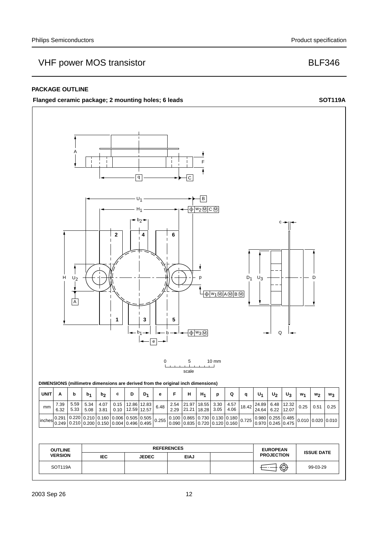## **PACKAGE OUTLINE**

### Flanged ceramic package; 2 mounting holes; 6 leads SOT119A

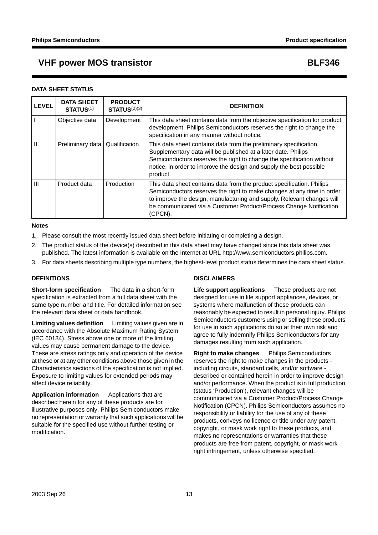## **VHF power MOS transistor BLF346**

### **DATA SHEET STATUS**

| <b>LEVEL</b>   | <b>DATA SHEET</b><br><b>STATUS(1)</b> | <b>PRODUCT</b><br>STATUS <sup>(2)(3)</sup> | <b>DEFINITION</b>                                                                                                                                                                                                                                                                                          |
|----------------|---------------------------------------|--------------------------------------------|------------------------------------------------------------------------------------------------------------------------------------------------------------------------------------------------------------------------------------------------------------------------------------------------------------|
|                | Objective data                        | Development                                | This data sheet contains data from the objective specification for product<br>development. Philips Semiconductors reserves the right to change the<br>specification in any manner without notice.                                                                                                          |
|                | Preliminary data                      | Qualification                              | This data sheet contains data from the preliminary specification.<br>Supplementary data will be published at a later date. Philips<br>Semiconductors reserves the right to change the specification without<br>notice, in order to improve the design and supply the best possible<br>product.             |
| $\mathbf{III}$ | Product data                          | Production                                 | This data sheet contains data from the product specification. Philips<br>Semiconductors reserves the right to make changes at any time in order<br>to improve the design, manufacturing and supply. Relevant changes will<br>be communicated via a Customer Product/Process Change Notification<br>(CPCN). |

### **Notes**

- 1. Please consult the most recently issued data sheet before initiating or completing a design.
- 2. The product status of the device(s) described in this data sheet may have changed since this data sheet was published. The latest information is available on the Internet at URL http://www.semiconductors.philips.com.
- 3. For data sheets describing multiple type numbers, the highest-level product status determines the data sheet status.

### **DEFINITIONS**

**Short-form specification** — The data in a short-form specification is extracted from a full data sheet with the same type number and title. For detailed information see the relevant data sheet or data handbook.

**Limiting values definition** - Limiting values given are in accordance with the Absolute Maximum Rating System (IEC 60134). Stress above one or more of the limiting values may cause permanent damage to the device. These are stress ratings only and operation of the device at these or at any other conditions above those given in the Characteristics sections of the specification is not implied. Exposure to limiting values for extended periods may affect device reliability.

**Application information** — Applications that are described herein for any of these products are for illustrative purposes only. Philips Semiconductors make no representation or warranty that such applications will be suitable for the specified use without further testing or modification.

## **DISCLAIMERS**

**Life support applications** - These products are not designed for use in life support appliances, devices, or systems where malfunction of these products can reasonably be expected to result in personal injury. Philips Semiconductors customers using or selling these products for use in such applications do so at their own risk and agree to fully indemnify Philips Semiconductors for any damages resulting from such application.

**Right to make changes** - Philips Semiconductors reserves the right to make changes in the products including circuits, standard cells, and/or software described or contained herein in order to improve design and/or performance. When the product is in full production (status 'Production'), relevant changes will be communicated via a Customer Product/Process Change Notification (CPCN). Philips Semiconductors assumes no responsibility or liability for the use of any of these products, conveys no licence or title under any patent, copyright, or mask work right to these products, and makes no representations or warranties that these products are free from patent, copyright, or mask work right infringement, unless otherwise specified.